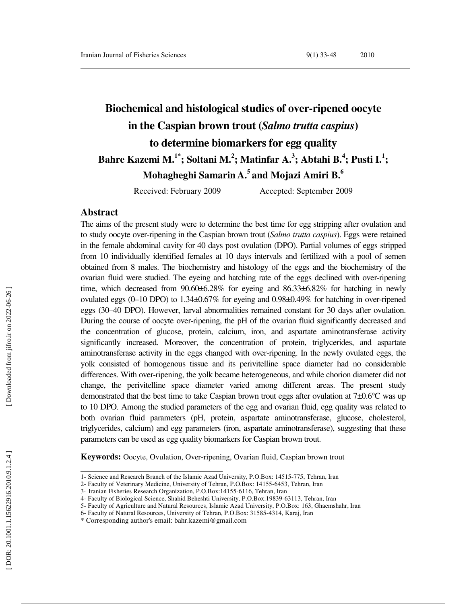# **Biochemical and histological studies of over-ripened oocyte in the Caspian brown trout (***Salmo trutta caspius***) to determine biomarkers for egg quality Bahre Kazemi M.1\* ; Soltani M. 2 ; Matinfar A. 3 ; Abtahi B. 4 ; Pusti I. 1 ; Mohagheghi Samarin A.<sup>5</sup>and Mojazi Amiri B.<sup>6</sup>**

Received: February 2009 Accepted: September 2009

### **Abstract**

The aims of the present study were to determine the best time for egg stripping after ovulation and to study oocyte over-ripening in the Caspian brown trout (*Salmo trutta caspius*). Eggs were retained in the female abdominal cavity for 40 days post ovulation (DPO). Partial volumes of eggs stripped from 10 individually identified females at 10 days intervals and fertilized with a pool of semen obtained from 8 males. The biochemistry and histology of the eggs and the biochemistry of the ovarian fluid were studied. The eyeing and hatching rate of the eggs declined with over-ripening time, which decreased from  $90.60\pm6.28\%$  for eyeing and  $86.33\pm6.82\%$  for hatching in newly ovulated eggs (0–10 DPO) to 1.34 $\pm$ 0.67% for eyeing and 0.98 $\pm$ 0.49% for hatching in over-ripened eggs (30–40 DPO). However, larval abnormalities remained constant for 30 days after ovulation. During the course of oocyte over-ripening, the pH of the ovarian fluid significantly decreased and the concentration of glucose, protein, calcium, iron, and aspartate aminotransferase activity significantly increased. Moreover, the concentration of protein, triglycerides, and aspartate aminotransferase activity in the eggs changed with over-ripening. In the newly ovulated eggs, the yolk consisted of homogenous tissue and its perivitelline space diameter had no considerable differences. With over-ripening, the yolk became heterogeneous, and while chorion diameter did not change, the perivitelline space diameter varied among different areas. The present study demonstrated that the best time to take Caspian brown trout eggs after ovulation at 7±0.6°C was up to 10 DPO. Among the studied parameters of the egg and ovarian fluid, egg quality was related to both ovarian fluid parameters (pH, protein, aspartate aminotransferase, glucose, cholesterol, triglycerides, calcium) and egg parameters (iron, aspartate aminotransferase), suggesting that these parameters can be used as egg quality biomarkers for Caspian brown trout.

**Keywords:** Oocyte, Ovulation, Over-ripening, Ovarian fluid, Caspian brown trout

<sup>1-</sup> Science and Research Branch of the Islamic Azad University, P.O.Box: 14515-775, Tehran, Iran

<sup>2-</sup> Faculty of Veterinary Medicine, University of Tehran, P.O.Box: 14155-6453, Tehran, Iran

<sup>3-</sup> Iranian Fisheries Research Organization, P.O.Box:14155-6116, Tehran, Iran

<sup>4-</sup> Faculty of Biological Science, Shahid Beheshti University, P.O.Box:19839-63113, Tehran, Iran

<sup>5-</sup> Faculty of Agriculture and Natural Resources, Islamic Azad University, P.O.Box: 163, Ghaemshahr, Iran

<sup>6-</sup> Faculty of Natural Resources, University of Tehran, P.O.Box: 31585-4314, Karaj, Iran

<sup>\*</sup> Corresponding author's email: bahr.kazemi@gmail.com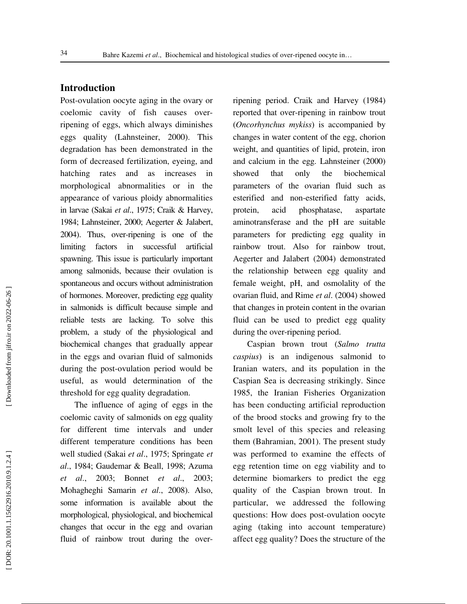### **Introduction**

Post-ovulation oocyte aging in the ovary or coelomic cavity of fish causes overripening of eggs, which always diminishes eggs quality (Lahnsteiner, 2000). This degradation has been demonstrated in the form of decreased fertilization, eyeing, and hatching rates and as increases in morphological abnormalities or in the appearance of various ploidy abnormalities in larvae (Sakai *et al*., 1975; Craik & Harvey, 1984; Lahnsteiner, 2000; Aegerter & Jalabert, 2004). Thus, over-ripening is one of the limiting factors in successful artificial spawning. This issue is particularly important among salmonids, because their ovulation is spontaneous and occurs without administration of hormones. Moreover, predicting egg quality in salmonids is difficult because simple and reliable tests are lacking. To solve this problem, a study of the physiological and biochemical changes that gradually appear in the eggs and ovarian fluid of salmonids during the post-ovulation period would be useful, as would determination of the threshold for egg quality degradation.

The influence of aging of eggs in the coelomic cavity of salmonids on egg quality for different time intervals and under different temperature conditions has been well studied (Sakai *et al*., 1975; Springate *et al*., 1984; Gaudemar & Beall, 1998; Azuma *et al*., 2003; Bonnet *et al*., 2003; Mohagheghi Samarin *et al*., 2008). Also, some information is available about the morphological, physiological, and biochemical changes that occur in the egg and ovarian fluid of rainbow trout during the overripening period. Craik and Harvey (1984) reported that over-ripening in rainbow trout (*Oncorhynchus mykiss*) is accompanied by changes in water content of the egg, chorion weight, and quantities of lipid, protein, iron and calcium in the egg. Lahnsteiner (2000) showed that only the biochemical parameters of the ovarian fluid such as esterified and non-esterified fatty acids, protein, acid phosphatase, aspartate aminotransferase and the pH are suitable parameters for predicting egg quality in rainbow trout. Also for rainbow trout, Aegerter and Jalabert (2004) demonstrated the relationship between egg quality and female weight, pH, and osmolality of the ovarian fluid, and Rime *et al*. (2004) showed that changes in protein content in the ovarian fluid can be used to predict egg quality during the over-ripening period.

Caspian brown trout (*Salmo trutta caspius*) is an indigenous salmonid to Iranian waters, and its population in the Caspian Sea is decreasing strikingly. Since 1985, the Iranian Fisheries Organization has been conducting artificial reproduction of the brood stocks and growing fry to the smolt level of this species and releasing them (Bahramian, 2001). The present study was performed to examine the effects of egg retention time on egg viability and to determine biomarkers to predict the egg quality of the Caspian brown trout. In particular, we addressed the following questions: How does post-ovulation oocyte aging (taking into account temperature) affect egg quality? Does the structure of the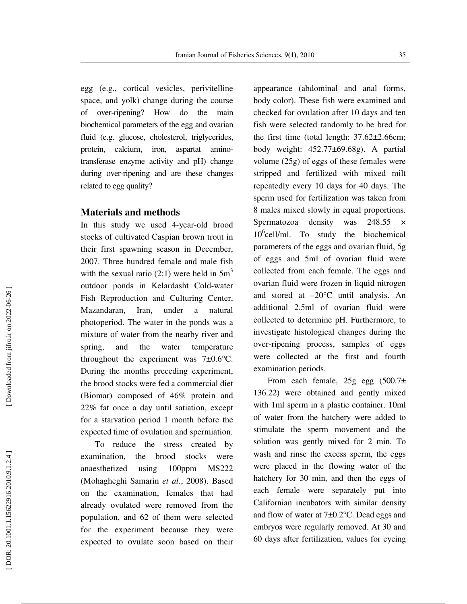egg (e.g., cortical vesicles, perivitelline space, and yolk) change during the course of over-ripening? How do the main biochemical parameters of the egg and ovarian fluid (e.g. glucose, cholesterol, triglycerides, protein, calcium, iron, aspartat aminotransferase enzyme activity and pH) change during over-ripening and are these changes related to egg quality?

### **Materials and methods**

In this study we used 4-year-old brood stocks of cultivated Caspian brown trout in their first spawning season in December, 2007. Three hundred female and male fish with the sexual ratio (2:1) were held in  $5m<sup>3</sup>$ outdoor ponds in Kelardasht Cold-water Fish Reproduction and Culturing Center, Mazandaran, Iran, under a natural photoperiod. The water in the ponds was a mixture of water from the nearby river and spring, and the water temperature throughout the experiment was  $7\pm0.6^{\circ}$ C. During the months preceding experiment, the brood stocks were fed a commercial diet (Biomar) composed of 46% protein and 22% fat once a day until satiation, except for a starvation period 1 month before the expected time of ovulation and spermiation.

To reduce the stress created by examination, the brood stocks were anaesthetized using 100ppm MS222 (Mohagheghi Samarin *et al*., 2008). Based on the examination, females that had already ovulated were removed from the population, and 62 of them were selected for the experiment because they were expected to ovulate soon based on their

appearance (abdominal and anal forms, body color). These fish were examined and checked for ovulation after 10 days and ten fish were selected randomly to be bred for the first time (total length:  $37.62 \pm 2.66$ cm; body weight: 452.77±69.68g). A partial volume (25g) of eggs of these females were stripped and fertilized with mixed milt repeatedly every 10 days for 40 days. The sperm used for fertilization was taken from 8 males mixed slowly in equal proportions. Spermatozoa density was 248.55 × 10 6 cell/ml. To study the biochemical parameters of the eggs and ovarian fluid, 5g of eggs and 5ml of ovarian fluid were collected from each female. The eggs and ovarian fluid were frozen in liquid nitrogen and stored at –20°C until analysis. An additional 2.5ml of ovarian fluid were collected to determine pH. Furthermore, to investigate histological changes during the over-ripening process, samples of eggs were collected at the first and fourth examination periods.

From each female, 25g egg (500.7± 136.22) were obtained and gently mixed with 1ml sperm in a plastic container. 10ml of water from the hatchery were added to stimulate the sperm movement and the solution was gently mixed for 2 min. To wash and rinse the excess sperm, the eggs were placed in the flowing water of the hatchery for 30 min, and then the eggs of each female were separately put into Californian incubators with similar density and flow of water at 7±0.2°C. Dead eggs and embryos were regularly removed. At 30 and 60 days after fertilization, values for eyeing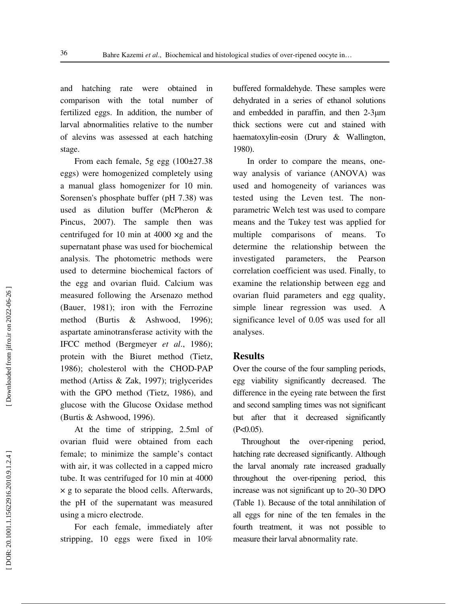and hatching rate were obtained in comparison with the total number of fertilized eggs. In addition, the number of larval abnormalities relative to the number of alevins was assessed at each hatching stage.

From each female, 5g egg  $(100\pm27.38)$ eggs) were homogenized completely using a manual glass homogenizer for 10 min. Sorensen's phosphate buffer (pH 7.38) was used as dilution buffer (McPheron & Pincus, 2007). The sample then was centrifuged for 10 min at 4000 ×g and the supernatant phase was used for biochemical analysis. The photometric methods were used to determine biochemical factors of the egg and ovarian fluid. Calcium was measured following the Arsenazo method (Bauer, 1981); iron with the Ferrozine method (Burtis & Ashwood, 1996); aspartate aminotransferase activity with the IFCC method (Bergmeyer *et al*., 1986); protein with the Biuret method (Tietz, 1986); cholesterol with the CHOD-PAP method (Artiss & Zak, 1997); triglycerides with the GPO method (Tietz, 1986), and glucose with the Glucose Oxidase method (Burtis & Ashwood, 1996).

At the time of stripping, 2.5ml of ovarian fluid were obtained from each female; to minimize the sample's contact with air, it was collected in a capped micro tube. It was centrifuged for 10 min at 4000 × g to separate the blood cells. Afterwards, the pH of the supernatant was measured using a micro electrode.

For each female, immediately after stripping, 10 eggs were fixed in 10%

buffered formaldehyde. These samples were dehydrated in a series of ethanol solutions and embedded in paraffin, and then 2-3µm thick sections were cut and stained with haematoxylin-eosin (Drury & Wallington, 1980).

In order to compare the means, oneway analysis of variance (ANOVA) was used and homogeneity of variances was tested using the Leven test. The nonparametric Welch test was used to compare means and the Tukey test was applied for multiple comparisons of means. To determine the relationship between the investigated parameters, the Pearson correlation coefficient was used. Finally, to examine the relationship between egg and ovarian fluid parameters and egg quality, simple linear regression was used. A significance level of 0.05 was used for all analyses.

### **Results**

Over the course of the four sampling periods, egg viability significantly decreased. The difference in the eyeing rate between the first and second sampling times was not significant but after that it decreased significantly  $(P<0.05)$ .

 Throughout the over-ripening period, hatching rate decreased significantly. Although the larval anomaly rate increased gradually throughout the over-ripening period, this increase was not significant up to 20–30 DPO (Table 1). Because of the total annihilation of all eggs for nine of the ten females in the fourth treatment, it was not possible to measure their larval abnormality rate.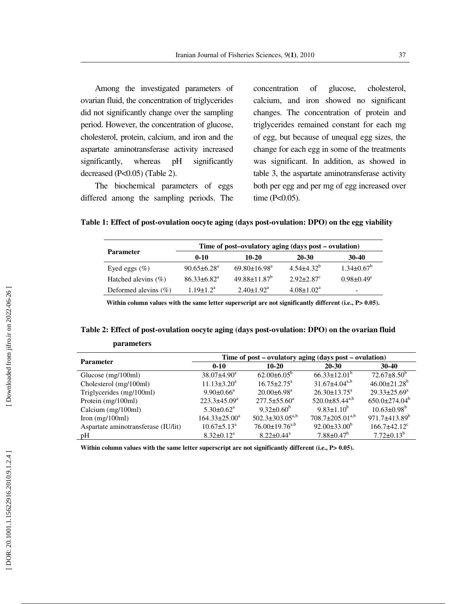Among the investigated parameters of ovarian fluid, the concentration of triglycerides did not significantly change over the sampling period. However, the concentration of glucose, cholesterol, protein, calcium, and iron and the aspartate aminotransferase activity increased significantly, whereas pH significantly decreased (P<0.05) (Table 2).

The biochemical parameters of eggs differed among the sampling periods. The

**parameters** 

concentration of glucose, cholesterol, calcium, and iron showed no significant changes. The concentration of protein and triglycerides remained constant for each mg of egg, but because of unequal egg sizes, the change for each egg in some of the treatments was significant. In addition, as showed in table 3, the aspartate aminotransferase activity both per egg and per mg of egg increased over time (P<0.05).

**Table 1: Effect of post-ovulation oocyte aging (days post-ovulation: DPO) on the egg viability** 

|                          | Time of post-ovulatory aging (days post – ovulation) |                                |                            |                              |  |  |  |
|--------------------------|------------------------------------------------------|--------------------------------|----------------------------|------------------------------|--|--|--|
| <b>Parameter</b>         | $0 - 10$                                             | 10-20                          | $20 - 30$                  | $30-40$                      |  |  |  |
| Eyed eggs $(\%)$         | $90.65 \pm 6.28$ <sup>a</sup>                        | $69.80 \pm 16.98^{\circ}$      | $4.54 + 4.32^b$            | $1.34 \pm 0.67^b$            |  |  |  |
| Hatched alevins $(\% )$  | $86.33 \pm 6.82^a$                                   | $49.88 \pm 11.87$ <sup>b</sup> | $2.92 + 2.87$ <sup>c</sup> | $0.98 \pm 0.49$ <sup>c</sup> |  |  |  |
| Deformed alevins $(\% )$ | $1.19 + 1.2a$                                        | $2.40 \pm 1.92$ <sup>a</sup>   | $4.08 \pm 1.02^a$          | $\overline{\phantom{a}}$     |  |  |  |

Within column values with the same letter superscript are not significantly different (i.e., P*>* 0.05).

## **Table 2: Effect of post-ovulation oocyte aging (days post-ovulation: DPO) on the ovarian fluid**

| <b>Parameter</b>                    | Time of post – ovulatory aging (days post – ovulation) |                               |                           |                                |  |  |  |
|-------------------------------------|--------------------------------------------------------|-------------------------------|---------------------------|--------------------------------|--|--|--|
|                                     | $0 - 10$                                               | $10 - 20$                     | $20 - 30$                 | $30 - 40$                      |  |  |  |
| Glucose $(mg/100ml)$                | $38.07 \pm 4.90^a$                                     | $62.00\pm6.05^{\circ}$        | $66.33 \pm 12.01^{\circ}$ | $72.67 \pm 8.50^b$             |  |  |  |
| Cholesterol (mg/100ml)              | $11.13 \pm 3.20^a$                                     | $16.75 \pm 2.75^{\mathrm{a}}$ | $31.67 \pm 4.04^{a,b}$    | $46.00 \pm 21.28$ <sup>b</sup> |  |  |  |
| Triglycerides (mg/100ml)            | $9.90 \pm 0.66^{\text{a}}$                             | $20.00 \pm 6.98$ <sup>a</sup> | $26.30 \pm 13.75^a$       | $29.33 \pm 25.69^a$            |  |  |  |
| Protein (mg/100ml)                  | $223.3 \pm 45.09^a$                                    | $277.5 \pm 55.60^a$           | $520.0\pm85.44^{a,b}$     | $650.0 \pm 274.04^b$           |  |  |  |
| Calcium (mg/100ml)                  | $5.30 \pm 0.62$ <sup>a</sup>                           | $9.32 \pm 0.60^{\circ}$       | $9.83 \pm 1.10^b$         | $10.63 \pm 0.98^{\rm b}$       |  |  |  |
| Iron $(mg/100ml)$                   | $164.33 \pm 25.00^a$                                   | $502.3 \pm 303.05^{a,b}$      | $708.7 \pm 205.01^{a,b}$  | $971.7\pm413.89^b$             |  |  |  |
| Aspartate aminotransferase (IU/lit) | $10.67 \pm 5.13^{\circ}$                               | $76.00 \pm 19.76^{a,b}$       | $92.00\pm33.00^b$         | $166.7 \pm 42.12$ <sup>c</sup> |  |  |  |
| рH                                  | $8.32 \pm 0.12^a$                                      | $8.22 \pm 0.44^{\circ}$       | $7.88 \pm 0.47^b$         | $7.72 \pm 0.13^b$              |  |  |  |

Within column values with the same letter superscript are not significantly different (i.e., P> 0.05).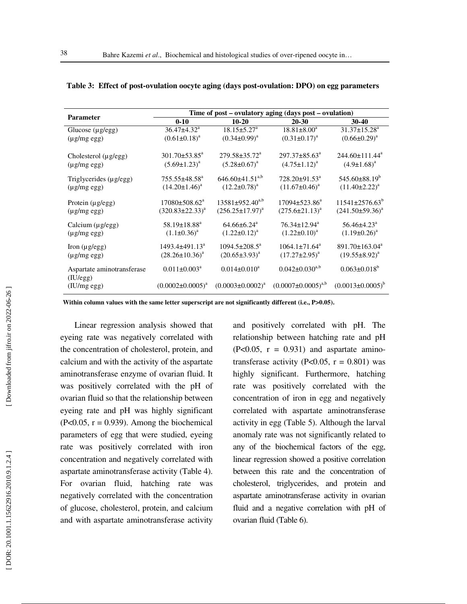| <b>Parameter</b>                | Time of post – ovulatory aging (days post – ovulation) |                               |                                 |                               |  |  |  |
|---------------------------------|--------------------------------------------------------|-------------------------------|---------------------------------|-------------------------------|--|--|--|
|                                 | $0 - 10$                                               | $10 - 20$                     | 20-30                           | $30 - 40$                     |  |  |  |
| Glucose $(\mu g / egg)$         | $36.47 \pm 4.32$ <sup>a</sup>                          | $18.15 \pm 5.27^{\circ}$      | $18.81 \pm 8.00^a$              | $31.37 \pm 15.28^a$           |  |  |  |
| $(\mu g/mg egg)$                | $(0.61 \pm 0.18)^a$                                    | $(0.34\pm0.99)^{a}$           | $(0.31 \pm 0.17)^{a}$           | $(0.66 \pm 0.29)^a$           |  |  |  |
|                                 |                                                        |                               |                                 |                               |  |  |  |
| Cholesterol (µg/egg)            | $301.70 \pm 53.85^{\circ}$                             | $279.58 \pm 35.72^{\circ}$    | $297.37 \pm 85.63^{\circ}$      | $244.60 \pm 111.44^a$         |  |  |  |
| $(\mu g/mg egg)$                | $(5.69 \pm 1.23)^a$                                    | $(5.28 \pm 0.67)^a$           | $(4.75 \pm 1.12)^a$             | $(4.9 \pm 1.68)^a$            |  |  |  |
|                                 |                                                        |                               |                                 |                               |  |  |  |
| Triglycerides $(\mu g / e g g)$ | $755.55\pm48.58^{\text{a}}$                            | $646.60\pm41.51^{a,b}$        | $728.20 \pm 91.53$ <sup>a</sup> | $545.60\pm88.19^{\circ}$      |  |  |  |
| $(\mu g/mg egg)$                | $(14.20 \pm 1.46)^a$                                   | $(12.2\pm0.78)^{a}$           | $(11.67 \pm 0.46)^a$            | $(11.40 \pm 2.22)^{a}$        |  |  |  |
| Protein $(\mu g / egg)$         | $17080 \pm 508.62^{\text{a}}$                          | $13581 \pm 952.40^{a,b}$      | $17094 \pm 523.86^a$            | $11541\pm 2576.63^b$          |  |  |  |
|                                 | $(320.83 \pm 22.33)^{a}$                               | $(256.25 \pm 17.97)^{a}$      | $(275.6 \pm 21.13)^{a}$         | $(241.50\pm59.36)^{a}$        |  |  |  |
| $(\mu g/mg egg)$                |                                                        |                               |                                 |                               |  |  |  |
| Calcium (µg/egg)                | $58.19 \pm 18.88^a$                                    | $64.66 \pm 6.24$ <sup>a</sup> | $76.34 \pm 12.94$ <sup>a</sup>  | $56.46 \pm 4.23$ <sup>a</sup> |  |  |  |
| $(\mu g/mg egg)$                | $(1.1\pm0.36)^{a}$                                     | $(1.22 \pm 0.12)^a$           | $(1.22 \pm 0.10)^a$             | $(1.19\pm0.26)^{a}$           |  |  |  |
|                                 |                                                        |                               |                                 |                               |  |  |  |
| Iron $(\mu g / e g g)$          | 1493.4±491.13 <sup>a</sup>                             | $1094.5 \pm 208.5^a$          | $1064.1 \pm 71.64^{\circ}$      | $891.70 \pm 163.04^{\circ}$   |  |  |  |
| $(\mu g/mg \, egg)$             | $(28.26 \pm 10.36)^a$                                  | $(20.65 \pm 3.93)^{a}$        | $(17.27 \pm 2.95)^a$            | $(19.55 \pm 8.92)^{a}$        |  |  |  |
| Aspartate aminotransferase      | $0.011 \pm 0.003^a$                                    | $0.014 \pm 0.010^4$           | $0.042 \pm 0.030^{a,b}$         | $0.063 \pm 0.018^b$           |  |  |  |
| (IU/egg)                        |                                                        |                               |                                 |                               |  |  |  |
| (IU/mg egg)                     | $(0.0002 \pm 0.0005)^{a}$                              | $(0.0003 \pm 0.0002)^a$       | $(0.0007 \pm 0.0005)^{a,b}$     | $(0.0013 \pm 0.0005)^{b}$     |  |  |  |
|                                 |                                                        |                               |                                 |                               |  |  |  |

**Table 3: Effect of post-ovulation oocyte aging (days post-ovulation: DPO) on egg parameters** 

Within column values with the same letter superscript are not significantly different (i.e., P>0.05).

Linear regression analysis showed that eyeing rate was negatively correlated with the concentration of cholesterol, protein, and calcium and with the activity of the aspartate aminotransferase enzyme of ovarian fluid. It was positively correlated with the pH of ovarian fluid so that the relationship between eyeing rate and pH was highly significant  $(P<0.05, r = 0.939)$ . Among the biochemical parameters of egg that were studied, eyeing rate was positively correlated with iron concentration and negatively correlated with aspartate aminotransferase activity (Table 4). For ovarian fluid, hatching rate was negatively correlated with the concentration of glucose, cholesterol, protein, and calcium and with aspartate aminotransferase activity

and positively correlated with pH. The relationship between hatching rate and pH  $(P<0.05, r = 0.931)$  and aspartate aminotransferase activity (P<0.05,  $r = 0.801$ ) was highly significant. Furthermore, hatching rate was positively correlated with the concentration of iron in egg and negatively correlated with aspartate aminotransferase activity in egg (Table 5). Although the larval anomaly rate was not significantly related to any of the biochemical factors of the egg, linear regression showed a positive correlation between this rate and the concentration of cholesterol, triglycerides, and protein and aspartate aminotransferase activity in ovarian fluid and a negative correlation with pH of ovarian fluid (Table 6).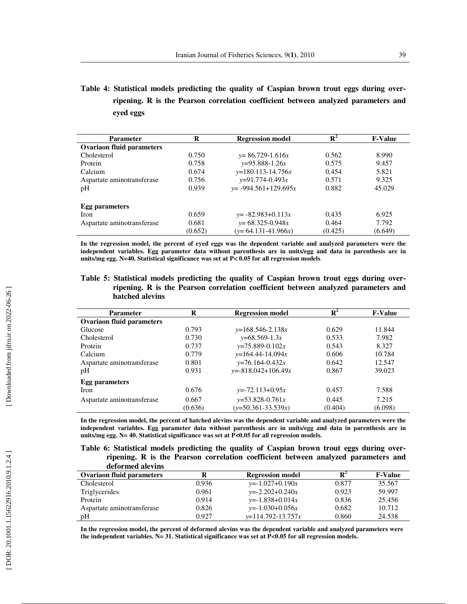**Table 4: Statistical models predicting the quality of Caspian brown trout eggs during overripening. R is the Pearson correlation coefficient between analyzed parameters and eyed eggs** 

| <b>Parameter</b>                 | R<br><b>Regression model</b> |                           | $\mathbf{R}^2$ | <b>F-Value</b> |
|----------------------------------|------------------------------|---------------------------|----------------|----------------|
| <b>Ovariaon fluid parameters</b> |                              |                           |                |                |
| Cholesterol                      | 0.750                        | $y=86.729-1.616x$         | 0.562          | 8.990          |
| Protein                          | 0.758                        | $v=95.888-1.26x$          | 0.575          | 9.457          |
| Calcium                          | 0.674                        | $y=180.113-14.756x$       | 0.454          | 5.821          |
| Aspartate aminotransferase       | 0.756                        | $y=91.774-0.493x$         | 0.571          | 9.325          |
| pH                               | 0.939                        | $y = -994.561 + 129.695x$ | 0.882          | 45.029         |
| <b>Egg parameters</b>            |                              |                           |                |                |
| <b>Iron</b>                      | 0.659                        | $y = -82.983 + 0.113x$    | 0.435          | 6.925          |
| Aspartate aminotransferase       | 0.681                        | $y=68.325-0.948x$         | 0.464          | 7.792          |
|                                  | (0.652)                      | $(y=64.131-41.966x)$      | (0.425)        | (6.649)        |

**In the regression model, the percent of eyed eggs was the dependent variable and analyzed parameters were the independent variables. Egg parameter data without parenthesis are in units/egg and data in parenthesis are in units/mg egg. N=40. Statistical significance was set at P< 0.05 for all regression models**.

### **Table 5: Statistical models predicting the quality of Caspian brown trout eggs during overripening. R is the Pearson correlation coefficient between analyzed parameters and hatched alevins**

| <b>Parameter</b>                 | R<br><b>Regression model</b> |                          | $\mathbf{R}^2$ | <b>F-Value</b> |
|----------------------------------|------------------------------|--------------------------|----------------|----------------|
| <b>Ovariaon fluid parameters</b> |                              |                          |                |                |
| Glucose                          | 0.793                        | $y=168.546-2.138x$       | 0.629          | 11.844         |
| Cholesterol                      | 0.730                        | $y=68.569-1.3x$          | 0.533          | 7.982          |
| Protein                          | 0.737                        | $y=75.889-0.102x$        | 0.543          | 8.327          |
| Calcium                          | 0.779                        | $y=164.44-14.094x$       | 0.606          | 10.784         |
| Aspartate aminotransferase       | 0.801                        | $y=76.164-0.432x$        | 0.642          | 12.547         |
| pH                               | 0.931                        | $y = -818.042 + 106.49x$ | 0.867          | 39.023         |
| <b>Egg parameters</b>            |                              |                          |                |                |
| <b>Iron</b>                      | 0.676                        | $y=-72.113+0.95x$        | 0.457          | 7.588          |
| Aspartate aminotransferase       | 0.667                        | $y=53.828-0.761x$        | 0.445          | 7.215          |
|                                  | (0.636)                      | $(y=50.361-33.539x)$     | (0.404)        | (6.098)        |

**In the regression model, the percent of hatched alevins was the dependent variable and analyzed parameters were the independent variables. Egg parameter data without parenthesis are in units/egg and data in parenthesis are in units/mg egg. N= 40. Statistical significance was set at P<0.05 for all regression models.** 

**Table 6: Statistical models predicting the quality of Caspian brown trout eggs during overripening. R is the Pearson correlation coefficient between analyzed parameters and deformed alevins** 

| $\mathbf{u}$ . $\mathbf{v}$ is the state $\mathbf{v}$ |       |                         |                |                |
|-------------------------------------------------------|-------|-------------------------|----------------|----------------|
| <b>Ovariaon fluid parameters</b>                      | R     | <b>Regression model</b> | $\mathbf{R}^2$ | <b>F-Value</b> |
| Cholesterol                                           | 0.936 | $y=-1.027+0.190x$       | 0.877          | 35.567         |
| Triglycerides                                         | 0.961 | $y=-2.202+0.240x$       | 0.923          | 59.997         |
| Protein                                               | 0.914 | $y=-1.838+0.014x$       | 0.836          | 25.456         |
| Aspartate aminotransferase                            | 0.826 | $y=-1.030+0.056x$       | 0.682          | 10.712         |
| pH                                                    | 0.927 | $v=114.792-13.757x$     | 0.860          | 24.538         |

**In the regression model, the percent of deformed alevins was the dependent variable and analyzed parameters were the independent variables. N= 31. Statistical significance was set at P<0.05 for all regression models.**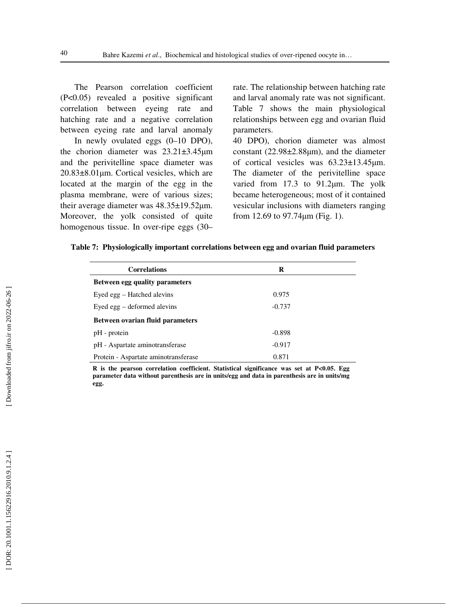The Pearson correlation coefficient (P<0.05) revealed a positive significant correlation between eyeing rate and hatching rate and a negative correlation between eyeing rate and larval anomaly

In newly ovulated eggs (0–10 DPO), the chorion diameter was 23.21±3.45 µm and the perivitelline space diameter was 20.83±8.01 µm. Cortical vesicles, which are located at the margin of the egg in the plasma membrane, were of various sizes; their average diameter was 48.35±19.52μm. Moreover, the yolk consisted of quite homogenous tissue. In over-ripe eggs (30–

rate. The relationship between hatching rate and larval anomaly rate was not significant. Table 7 shows the main physiological relationships between egg and ovarian fluid parameters.

40 DPO), chorion diameter was almost constant  $(22.98\pm2.88\mu m)$ , and the diameter of cortical vesicles was  $63.23 \pm 13.45 \mu m$ . The diameter of the perivitelline space varied from 17.3 to 91.2 $\mu$ m. The yolk became heterogeneous; most of it contained vesicular inclusions with diameters ranging from 12.69 to 97.74 µm (Fig. 1).

|  |  | Table 7: Physiologically important correlations between egg and ovarian fluid parameters |  |  |  |
|--|--|------------------------------------------------------------------------------------------|--|--|--|
|  |  |                                                                                          |  |  |  |
|  |  |                                                                                          |  |  |  |
|  |  |                                                                                          |  |  |  |

| <b>Correlations</b>                     | R        |  |
|-----------------------------------------|----------|--|
| Between egg quality parameters          |          |  |
| Eyed egg – Hatched alevins              | 0.975    |  |
| Eyed egg – deformed alevins             | $-0.737$ |  |
| <b>Between ovarian fluid parameters</b> |          |  |
| pH - protein                            | $-0.898$ |  |
| pH - Aspartate aminotransferase         | $-0.917$ |  |
| Protein - Aspartate aminotransferase    | 0.871    |  |

**R is the pearson correlation coefficient. Statistical significance was set at P<0.05. Egg parameter data without parenthesis are in units/egg and data in parenthesis are in units/mg egg.**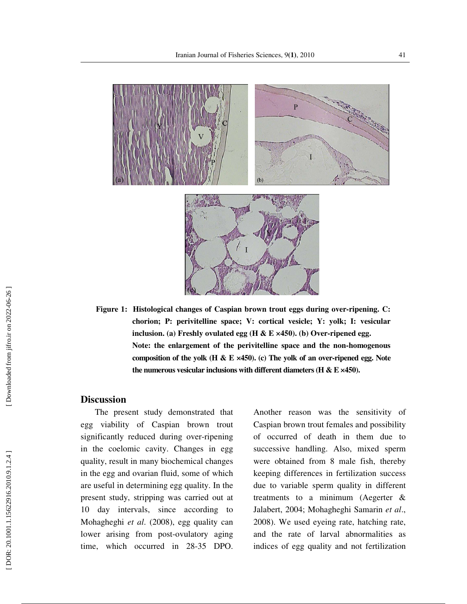

**Figure 1: Histological changes of Caspian brown trout eggs during over-ripening. C: chorion; P: perivitelline space; V: cortical vesicle; Y: yolk; I: vesicular inclusion. (a) Freshly ovulated egg (H & E ×450). (b) Over-ripened egg. Note: the enlargement of the perivitelline space and the non-homogenous composition of the yolk (H & E ×450). (c) The yolk of an over-ripened egg. Note the numerous vesicular inclusions with different diameters (H & E ×450).** 

### **Discussion**

The present study demonstrated that egg viability of Caspian brown trout significantly reduced during over-ripening in the coelomic cavity. Changes in egg quality, result in many biochemical changes in the egg and ovarian fluid, some of which are useful in determining egg quality. In the present study, stripping was carried out at 10 day intervals, since according to Mohagheghi *et al*. (2008), egg quality can lower arising from post-ovulatory aging time, which occurred in 28-35 DPO.

Another reason was the sensitivity of Caspian brown trout females and possibility of occurred of death in them due to successive handling. Also, mixed sperm were obtained from 8 male fish, thereby keeping differences in fertilization success due to variable sperm quality in different treatments to a minimum (Aegerter & Jalabert, 2004; Mohagheghi Samarin *et al*., 2008). We used eyeing rate, hatching rate, and the rate of larval abnormalities as indices of egg quality and not fertilization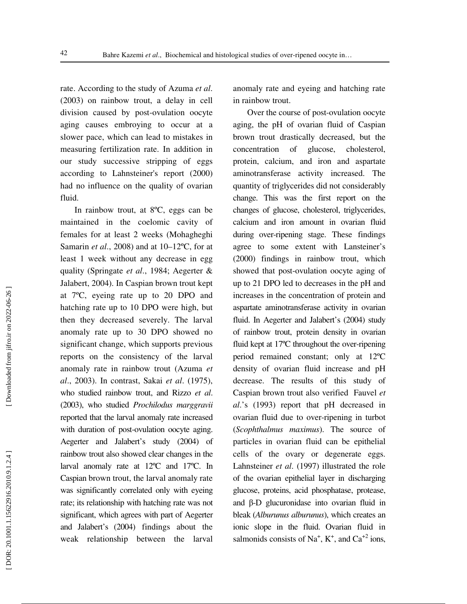rate. According to the study of Azuma *et al*. (2003) on rainbow trout, a delay in cell division caused by post-ovulation oocyte aging causes embroying to occur at a slower pace, which can lead to mistakes in measuring fertilization rate. In addition in our study successive stripping of eggs according to Lahnsteiner's report (2000) had no influence on the quality of ovarian fluid.

In rainbow trout, at 8ºC, eggs can be maintained in the coelomic cavity of females for at least 2 weeks (Mohagheghi Samarin *et al*., 2008) and at 10–12ºC, for at least 1 week without any decrease in egg quality (Springate *et al*., 1984; Aegerter & Jalabert, 2004). In Caspian brown trout kept at 7ºC, eyeing rate up to 20 DPO and hatching rate up to 10 DPO were high, but then they decreased severely. The larval anomaly rate up to 30 DPO showed no significant change, which supports previous reports on the consistency of the larval anomaly rate in rainbow trout (Azuma *et al*., 2003). In contrast, Sakai *et al*. (1975), who studied rainbow trout, and Rizzo *et al*. (2003), who studied *Prochilodus marggravii* reported that the larval anomaly rate increased with duration of post-ovulation oocyte aging. Aegerter and Jalabert's study (2004) of rainbow trout also showed clear changes in the larval anomaly rate at 12ºC and 17ºC. In Caspian brown trout, the larval anomaly rate was significantly correlated only with eyeing rate; its relationship with hatching rate was not significant, which agrees with part of Aegerter and Jalabert's (2004) findings about the weak relationship between the larval anomaly rate and eyeing and hatching rate in rainbow trout.

Over the course of post-ovulation oocyte aging, the pH of ovarian fluid of Caspian brown trout drastically decreased, but the concentration of glucose, cholesterol, protein, calcium, and iron and aspartate aminotransferase activity increased. The quantity of triglycerides did not considerably change. This was the first report on the changes of glucose, cholesterol, triglycerides, calcium and iron amount in ovarian fluid during over-ripening stage. These findings agree to some extent with Lansteiner's (2000) findings in rainbow trout, which showed that post-ovulation oocyte aging of up to 21 DPO led to decreases in the pH and increases in the concentration of protein and aspartate aminotransferase activity in ovarian fluid. In Aegerter and Jalabert's (2004) study of rainbow trout, protein density in ovarian fluid kept at 17ºC throughout the over-ripening period remained constant; only at 12ºC density of ovarian fluid increase and pH decrease. The results of this study of Caspian brown trout also verified Fauvel *et al*.'s (1993) report that pH decreased in ovarian fluid due to over-ripening in turbot (*Scophthalmus maximus*). The source of particles in ovarian fluid can be epithelial cells of the ovary or degenerate eggs. Lahnsteiner *et al*. (1997) illustrated the role of the ovarian epithelial layer in discharging glucose, proteins, acid phosphatase, protease, and β-D glucuronidase into ovarian fluid in bleak (*Alburunus alburunus*), which creates an ionic slope in the fluid. Ovarian fluid in salmonids consists of Na<sup>+</sup>, K<sup>+</sup>, and Ca<sup>+2</sup> ions,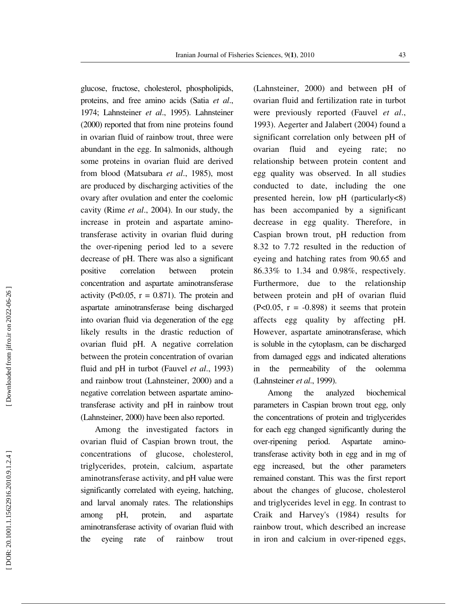glucose, fructose, cholesterol, phospholipids, proteins, and free amino acids (Satia *et al*., 1974; Lahnsteiner *et al*., 1995). Lahnsteiner (2000) reported that from nine proteins found in ovarian fluid of rainbow trout, three were abundant in the egg. In salmonids, although some proteins in ovarian fluid are derived from blood (Matsubara *et al*., 1985), most are produced by discharging activities of the ovary after ovulation and enter the coelomic cavity (Rime *et al*., 2004). In our study, the increase in protein and aspartate aminotransferase activity in ovarian fluid during the over-ripening period led to a severe decrease of pH. There was also a significant positive correlation between protein concentration and aspartate aminotransferase activity (P<0.05,  $r = 0.871$ ). The protein and aspartate aminotransferase being discharged into ovarian fluid via degeneration of the egg likely results in the drastic reduction of ovarian fluid pH. A negative correlation between the protein concentration of ovarian fluid and pH in turbot (Fauvel *et al*., 1993) and rainbow trout (Lahnsteiner, 2000) and a negative correlation between aspartate aminotransferase activity and pH in rainbow trout (Lahnsteiner, 2000) have been also reported.

Among the investigated factors in ovarian fluid of Caspian brown trout, the concentrations of glucose, cholesterol, triglycerides, protein, calcium, aspartate aminotransferase activity, and pH value were significantly correlated with eyeing, hatching, and larval anomaly rates. The relationships among pH, protein, and aspartate aminotransferase activity of ovarian fluid with the eyeing rate of rainbow trout (Lahnsteiner, 2000) and between pH of ovarian fluid and fertilization rate in turbot were previously reported (Fauvel *et al*., 1993). Aegerter and Jalabert (2004) found a significant correlation only between pH of ovarian fluid and eyeing rate; no relationship between protein content and egg quality was observed. In all studies conducted to date, including the one presented herein, low pH (particularly<8) has been accompanied by a significant decrease in egg quality. Therefore, in Caspian brown trout, pH reduction from 8.32 to 7.72 resulted in the reduction of eyeing and hatching rates from 90.65 and 86.33% to 1.34 and 0.98%, respectively. Furthermore, due to the relationship between protein and pH of ovarian fluid  $(P<0.05, r = -0.898)$  it seems that protein affects egg quality by affecting pH. However, aspartate aminotransferase, which is soluble in the cytoplasm, can be discharged from damaged eggs and indicated alterations in the permeability of the oolemma (Lahnsteiner *et al*., 1999).

Among the analyzed biochemical parameters in Caspian brown trout egg, only the concentrations of protein and triglycerides for each egg changed significantly during the over-ripening period. Aspartate aminotransferase activity both in egg and in mg of egg increased, but the other parameters remained constant. This was the first report about the changes of glucose, cholesterol and triglycerides level in egg. In contrast to Craik and Harvey's (1984) results for rainbow trout, which described an increase in iron and calcium in over-ripened eggs,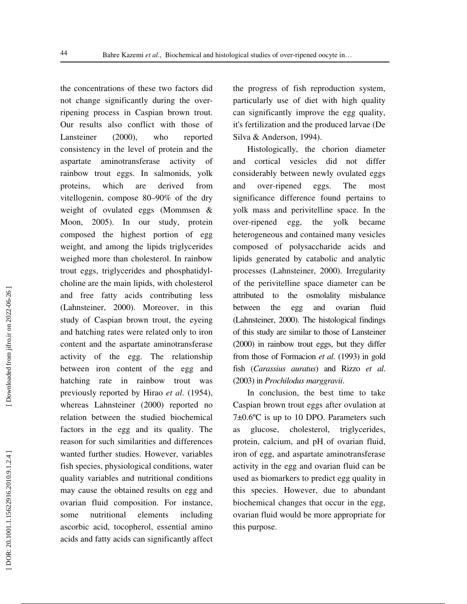the concentrations of these two factors did not change significantly during the overripening process in Caspian brown trout. Our results also conflict with those of Lansteiner (2000), who reported consistency in the level of protein and the aspartate aminotransferase activity rainbow trout eggs. In salmonids, yolk proteins, which are derived from vitellogenin, compose 80–90% of the dry weight of ovulated eggs (Mommsen & Moon, 2005). In our study, protein composed the highest portion of egg weight, and among the lipids triglycerides weighed more than cholesterol. In rainbow trout eggs, triglycerides and phosphatidylcholine are the main lipids, with cholesterol and free fatty acids contributing less (Lahnsteiner, 2000). Moreover, in this study of Caspian brown trout, the eyeing and hatching rates were related only to iron content and the aspartate aminotransferase activity of the egg. The relationship between iron content of the egg and hatching rate in rainbow trout was previously reported by Hirao *et al*. (1954), whereas Lahnsteiner (2000) reported no relation between the studied biochemical factors in the egg and its quality. The reason for such similarities and differences wanted further studies. However, variables fish species, physiological conditions, water quality variables and nutritional conditions may cause the obtained results on egg and ovarian fluid composition. For instance, some nutritional elements including ascorbic acid, tocopherol, essential amino acids and fatty acids can significantly affect

the progress of fish reproduction system, particularly use of diet with high quality can significantly improve the egg quality, it's fertilization and the produced larvae (De Silva & Anderson, 1994).

Histologically, the chorion diameter and cortical vesicles did not differ considerably between newly ovulated eggs and over-ripened eggs. The most significance difference found pertains to yolk mass and perivitelline space. In the over-ripened egg, the yolk became heterogeneous and contained many vesicles composed of polysaccharide acids and lipids generated by catabolic and analytic processes (Lahnsteiner, 2000). Irregularity of the perivitelline space diameter can be attributed to the osmolality misbalance between the egg and ovarian fluid (Lahnsteiner, 2000). The histological findings of this study are similar to those of Lansteiner (2000) in rainbow trout eggs, but they differ from those of Formacion *et al*. (1993) in gold fish (*Carassius auratus*) and Rizzo *et al*. (2003) in *Prochilodus marggravii*.

In conclusion, the best time to take Caspian brown trout eggs after ovulation at 7±0.6ºC is up to 10 DPO. Parameters such as glucose, cholesterol, triglycerides, protein, calcium, and pH of ovarian fluid, iron of egg, and aspartate aminotransferase activity in the egg and ovarian fluid can be used as biomarkers to predict egg quality in this species. However, due to abundant biochemical changes that occur in the egg, ovarian fluid would be more appropriate for this purpose.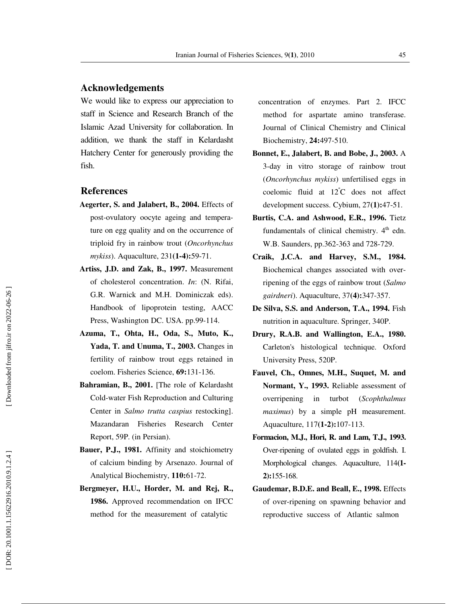### **Acknowledgements**

We would like to express our appreciation to staff in Science and Research Branch of the Islamic Azad University for collaboration. In addition, we thank the staff in Kelardasht Hatchery Center for generously providing the fish.

### **References**

- **Aegerter, S. and Jalabert, B., 2004.** Effects of post-ovulatory oocyte ageing and temperature on egg quality and on the occurrence of triploid fry in rainbow trout (*Oncorhynchus mykiss*). Aquaculture, 231**(1-4):**59-71.
- **Artiss, J.D. and Zak, B., 1997.** Measurement of cholesterol concentration. *In*: (N. Rifai, G.R. Warnick and M.H. Dominiczak eds). Handbook of lipoprotein testing, AACC Press, Washington DC. USA. pp.99-114.
- **Azuma, T., Ohta, H., Oda, S., Muto, K., Yada, T. and Unuma, T., 2003.** Changes in fertility of rainbow trout eggs retained in coelom. Fisheries Science, **69:**131-136.
- **Bahramian, B., 2001.** [The role of Kelardasht Cold-water Fish Reproduction and Culturing Center in *Salmo trutta caspius* restocking]. Mazandaran Fisheries Research Center Report, 59P. (in Persian).
- **Bauer, P.J., 1981.** Affinity and stoichiometry of calcium binding by Arsenazo. Journal of Analytical Biochemistry, **110:**61-72.
- **Bergmeyer, H.U., Horder, M. and Rej, R., 1986.** Approved recommendation on IFCC method for the measurement of catalytic

 concentration of enzymes. Part 2. IFCC method for aspartate amino transferase. Journal of Clinical Chemistry and Clinical Biochemistry, **24:**497-510.

- **Bonnet, E., Jalabert, B. and Bobe, J., 2003.** A 3-day in vitro storage of rainbow trout (*Oncorhynchus mykiss*) unfertilised eggs in coelomic fluid at 12 <sup>º</sup>C does not affect development success. Cybium, 27**(1):**47-51.
- **Burtis, C.A. and Ashwood, E.R., 1996.** Tietz fundamentals of clinical chemistry.  $4<sup>th</sup>$  edn. W.B. Saunders, pp.362-363 and 728-729.
- **Craik, J.C.A. and Harvey, S.M., 1984.** Biochemical changes associated with overripening of the eggs of rainbow trout (*Salmo gairdneri*). Aquaculture, 37**(4):**347-357.
- **De Silva, S.S. and Anderson, T.A., 1994.** Fish nutrition in aquaculture. Springer, 340P.
- **Drury, R.A.B. and Wallington, E.A., 1980.** Carleton's histological technique. Oxford University Press, 520P.
- **Fauvel, Ch., Omnes, M.H., Suquet, M. and Normant, Y., 1993.** Reliable assessment of overripening in turbot (*Scophthalmus maximus*) by a simple pH measurement. Aquaculture, 117**(1-2):**107-113.
- **Formacion, M.J., Hori, R. and Lam, T.J., 1993.** Over-ripening of ovulated eggs in goldfish. I. Morphological changes. Aquaculture, 114**(1- 2):**155-168.
- **Gaudemar, B.D.E. and Beall, E., 1998.** Effects of over-ripening on spawning behavior and reproductive success of Atlantic salmon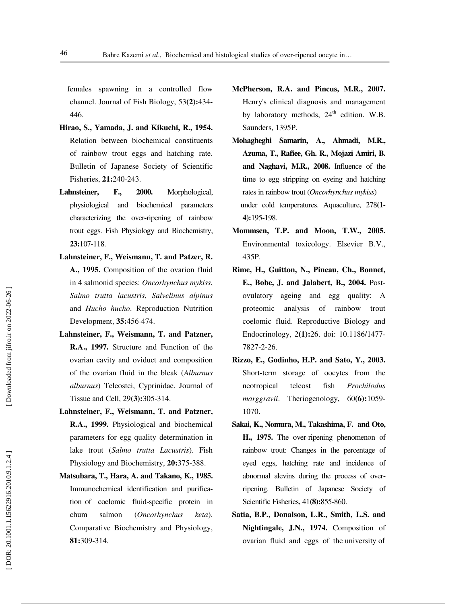females spawning in a controlled flow channel. Journal of Fish Biology, 53**(2):**434- 446.

- **Hirao, S., Yamada, J. and Kikuchi, R., 1954.** Relation between biochemical constituents of rainbow trout eggs and hatching rate. Bulletin of Japanese Society of Scientific Fisheries, **21:**240-243.
- **Lahnsteiner, F., 2000.** Morphological, physiological and biochemical parameters characterizing the over-ripening of rainbow trout eggs. Fish Physiology and Biochemistry, **23:**107-118.
- **Lahnsteiner, F., Weismann, T. and Patzer, R. A., 1995.** Composition of the ovarion fluid in 4 salmonid species: *Oncorhynchus mykiss*, *Salmo trutta lacustris*, *Salvelinus alpinus* and *Hucho hucho*. Reproduction Nutrition Development, **35:**456-474.
- **Lahnsteiner, F., Weismann, T. and Patzner, R.A., 1997.** Structure and Function of the ovarian cavity and oviduct and composition of the ovarian fluid in the bleak (*Alburnus alburnus*) Teleostei, Cyprinidae. Journal of Tissue and Cell, 29**(3):**305-314.
- **Lahnsteiner, F., Weismann, T. and Patzner, R.A., 1999.** Physiological and biochemical parameters for egg quality determination in lake trout (*Salmo trutta Lacustris*). Fish Physiology and Biochemistry, **20:**375-388.
- **Matsubara, T., Hara, A. and Takano, K., 1985.** Immunochemical identification and purification of coelomic fluid-specific protein in chum salmon (*Oncorhynchus keta*). Comparative Biochemistry and Physiology, **81:**309-314.
- **McPherson, R.A. and Pincus, M.R., 2007.** Henry's clinical diagnosis and management by laboratory methods,  $24<sup>th</sup>$  edition. W.B. Saunders, 1395P.
- **Mohagheghi Samarin, A., Ahmadi, M.R., Azuma, T., Rafiee, Gh. R., Mojazi Amiri, B. and Naghavi, M.R., 2008.** Influence of the time to egg stripping on eyeing and hatching rates in rainbow trout (*Oncorhynchus mykiss*) under cold temperatures. Aquaculture, 278**(1- 4):**195-198.
- **Mommsen, T.P. and Moon, T.W., 2005.** Environmental toxicology. Elsevier B.V., 435P.
- **Rime, H., Guitton, N., Pineau, Ch., Bonnet, E., Bobe, J. and Jalabert, B., 2004.** Postovulatory ageing and egg quality: A proteomic analysis of rainbow trout coelomic fluid. Reproductive Biology and Endocrinology, 2**(1):**26. doi: 10.1186/1477- 7827-2-26.
- **Rizzo, E., Godinho, H.P. and Sato, Y., 2003.** Short-term storage of oocytes from the neotropical teleost fish *Prochilodus marggravii*. Theriogenology, 60**(6):**1059- 1070.
- **Sakai, K., Nomura, M., Takashima, F. and Oto, H., 1975.** The over-ripening phenomenon of rainbow trout: Changes in the percentage of eyed eggs, hatching rate and incidence of abnormal alevins during the process of overripening. Bulletin of Japanese Society of Scientific Fisheries, 41**(8):**855-860.
- **Satia, B.P., Donalson, L.R., Smith, L.S. and Nightingale, J.N., 1974.** Composition of ovarian fluid and eggs of the university of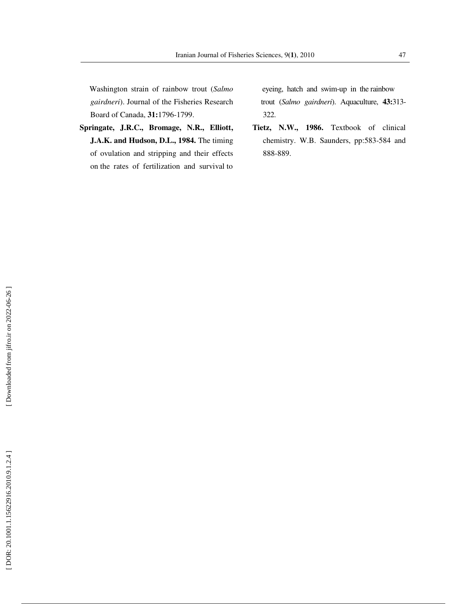Washington strain of rainbow trout (*Salmo gairdneri*). Journal of the Fisheries Research Board of Canada, **31:**1796-1799.

**Springate, J.R.C., Bromage, N.R., Elliott, J.A.K. and Hudson, D.L., 1984.** The timing of ovulation and stripping and their effects on the rates of fertilization and survival to

 eyeing, hatch and swim-up in the rainbow trout (*Salmo gairdneri*). Aquaculture, **43:**313- 322.

**Tietz, N.W., 1986.** Textbook of clinical chemistry. W.B. Saunders, pp:583-584 and 888-889.